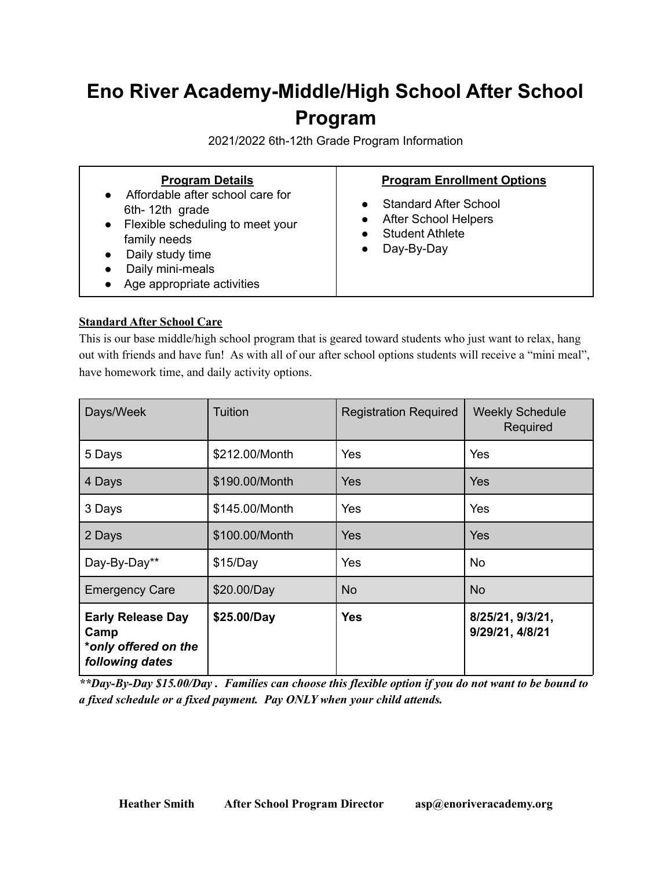# **Eno River Academy-Middle/High School After School Program**

2021/2022 6th-12th Grade Program Information

# **Standard After School Care**

This is our base middle/high school program that is geared toward students who just want to relax, hang out with friends and have fun! As with all of our after school options students will receive a "mini meal", have homework time, and daily activity options.

| Days/Week                                                                   | Tuition        | <b>Registration Required</b> | <b>Weekly Schedule</b><br>Required  |
|-----------------------------------------------------------------------------|----------------|------------------------------|-------------------------------------|
| 5 Days                                                                      | \$212.00/Month | Yes                          | Yes                                 |
| 4 Days                                                                      | \$190.00/Month | Yes                          | Yes                                 |
| 3 Days                                                                      | \$145.00/Month | Yes                          | Yes                                 |
| 2 Days                                                                      | \$100.00/Month | Yes                          | Yes                                 |
| Day-By-Day**                                                                | \$15/Day       | Yes                          | No.                                 |
| <b>Emergency Care</b>                                                       | \$20.00/Day    | <b>No</b>                    | <b>No</b>                           |
| <b>Early Release Day</b><br>Camp<br>*only offered on the<br>following dates | \$25.00/Day    | <b>Yes</b>                   | 8/25/21, 9/3/21,<br>9/29/21, 4/8/21 |

\*\*Day-By-Day \$15.00/Day. Families can choose this flexible option if you do not want to be bound to *a fixed schedule or a fixed payment. Pay ONLY when your child attends.*

**Heather Smith After School Program Director asp@enoriveracademy.org**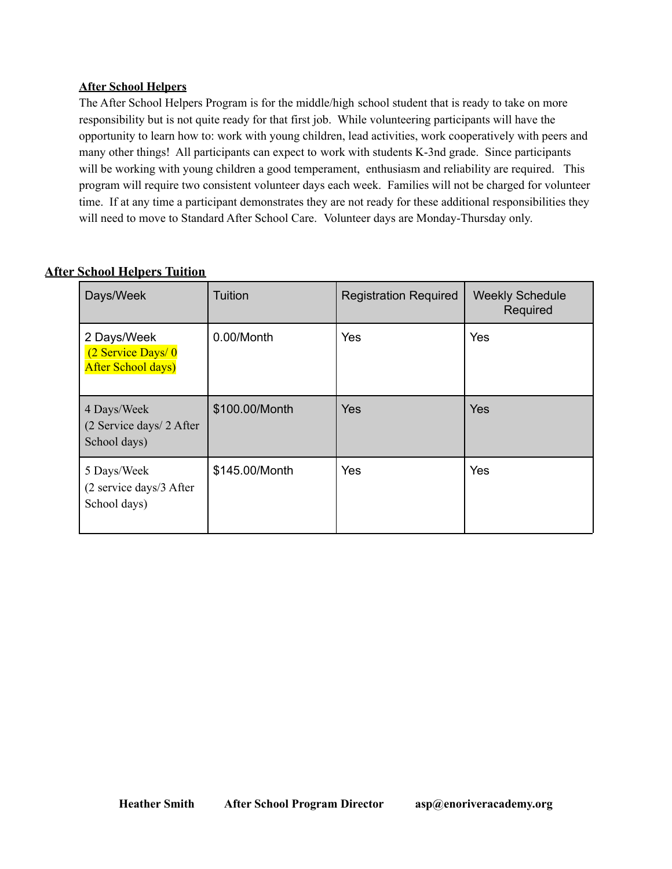# **After School Helpers**

The After School Helpers Program is for the middle/high school student that is ready to take on more responsibility but is not quite ready for that first job. While volunteering participants will have the opportunity to learn how to: work with young children, lead activities, work cooperatively with peers and many other things! All participants can expect to work with students K-3nd grade. Since participants will be working with young children a good temperament, enthusiasm and reliability are required. This program will require two consistent volunteer days each week. Families will not be charged for volunteer time. If at any time a participant demonstrates they are not ready for these additional responsibilities they will need to move to Standard After School Care. Volunteer days are Monday-Thursday only.

| Days/Week                                                     | Tuition        | <b>Registration Required</b> | <b>Weekly Schedule</b><br>Required |
|---------------------------------------------------------------|----------------|------------------------------|------------------------------------|
| 2 Days/Week<br>(2 Service Days/0<br><b>After School days)</b> | 0.00/Month     | Yes                          | Yes                                |
| 4 Days/Week<br>(2 Service days/ 2 After<br>School days)       | \$100.00/Month | <b>Yes</b>                   | <b>Yes</b>                         |
| 5 Days/Week<br>(2 service days/3 After<br>School days)        | \$145.00/Month | Yes                          | Yes                                |

# **After School Helpers Tuition**